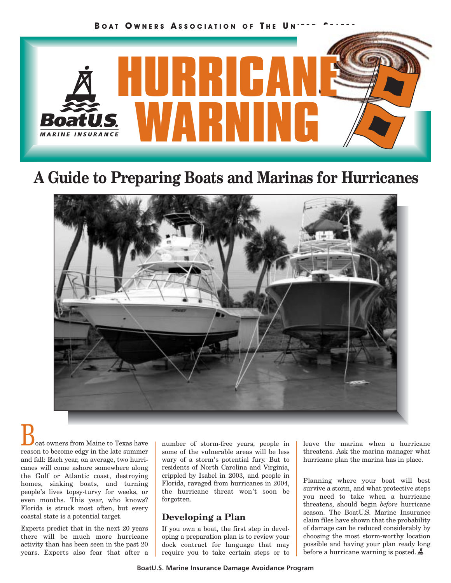

# **A Guide to Preparing Boats and Marinas for Hurricanes**



oat owners from Maine to Texas have reason to become edgy in the late summer and fall: Each year, on average, two hurricanes will come ashore somewhere along the Gulf or Atlantic coast, destroying homes, sinking boats, and turning people's lives topsy-turvy for weeks, or even months. This year, who knows? Florida is struck most often, but every coastal state is a potential target.

Experts predict that in the next 20 years there will be much more hurricane activity than has been seen in the past 20 years. Experts also fear that after a number of storm-free years, people in some of the vulnerable areas will be less wary of a storm's potential fury. But to residents of North Carolina and Virginia, crippled by Isabel in 2003, and people in Florida, ravaged from hurricanes in 2004, the hurricane threat won't soon be forgotten.

### **Developing a Plan**

If you own a boat, the first step in developing a preparation plan is to review your dock contract for language that may require you to take certain steps or to leave the marina when a hurricane threatens. Ask the marina manager what hurricane plan the marina has in place.

Planning where your boat will best survive a storm, and what protective steps you need to take when a hurricane threatens, should begin *before* hurricane season. The BoatU.S. Marine Insurance claim files have shown that the probability of damage can be reduced considerably by choosing the most storm-worthy location possible and having your plan ready long before a hurricane warning is posted.  $\clubsuit$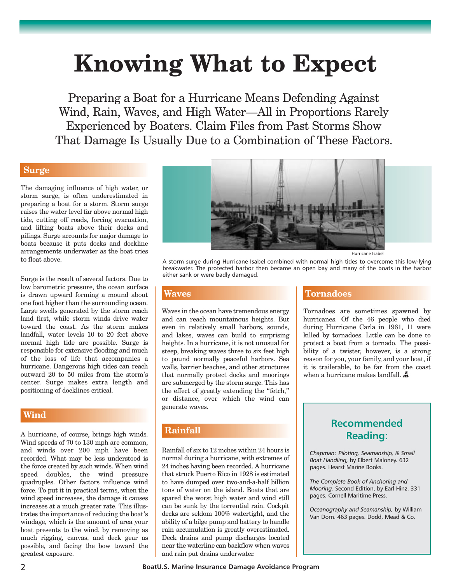# **Knowing What to Expect**

Preparing a Boat for a Hurricane Means Defending Against Wind, Rain, Waves, and High Water—All in Proportions Rarely Experienced by Boaters. Claim Files from Past Storms Show That Damage Is Usually Due to a Combination of These Factors.

### **Surge**

The damaging influence of high water, or storm surge, is often underestimated in preparing a boat for a storm. Storm surge raises the water level far above normal high tide, cutting off roads, forcing evacuation, and lifting boats above their docks and pilings. Surge accounts for major damage to boats because it puts docks and dockline arrangements underwater as the boat tries to float above.

Surge is the result of several factors. Due to low barometric pressure, the ocean surface is drawn upward forming a mound about one foot higher than the surrounding ocean. Large swells generated by the storm reach land first, while storm winds drive water toward the coast. As the storm makes landfall, water levels 10 to 20 feet above normal high tide are possible. Surge is responsible for extensive flooding and much of the loss of life that accompanies a hurricane. Dangerous high tides can reach outward 20 to 50 miles from the storm's center. Surge makes extra length and positioning of docklines critical.

### **Wind**

A hurricane, of course, brings high winds. Wind speeds of 70 to 130 mph are common, and winds over 200 mph have been recorded. What may be less understood is the force created by such winds. When wind speed doubles, the wind pressure quadruples. Other factors influence wind force. To put it in practical terms, when the wind speed increases, the damage it causes increases at a much greater rate. This illustrates the importance of reducing the boat's windage, which is the amount of area your boat presents to the wind, by removing as much rigging, canvas, and deck gear as possible, and facing the bow toward the greatest exposure.



A storm surge during Hurricane Isabel combined with normal high tides to overcome this low-lying breakwater. The protected harbor then became an open bay and many of the boats in the harbor either sank or were badly damaged.

#### **Waves**

Waves in the ocean have tremendous energy and can reach mountainous heights. But even in relatively small harbors, sounds, and lakes, waves can build to surprising heights. In a hurricane, it is not unusual for steep, breaking waves three to six feet high to pound normally peaceful harbors. Sea walls, barrier beaches, and other structures that normally protect docks and moorings are submerged by the storm surge. This has the effect of greatly extending the "fetch," or distance, over which the wind can generate waves.

### **Rainfall**

Rainfall of six to 12 inches within 24 hours is normal during a hurricane, with extremes of 24 inches having been recorded. A hurricane that struck Puerto Rico in 1928 is estimated to have dumped over two-and-a-half billion tons of water on the island. Boats that are spared the worst high water and wind still can be sunk by the torrential rain. Cockpit decks are seldom 100% watertight, and the ability of a bilge pump and battery to handle rain accumulation is greatly overestimated. Deck drains and pump discharges located near the waterline can backflow when waves and rain put drains underwater.

### **Tornadoes**

Tornadoes are sometimes spawned by hurricanes. Of the 46 people who died during Hurricane Carla in 1961, 11 were killed by tornadoes. Little can be done to protect a boat from a tornado. The possibility of a twister, however, is a strong reason for you, your family, and your boat, if it is trailerable, to be far from the coast when a hurricane makes landfall.

### **Recommended Reading:**

*Chapman: Piloting, Seamanship, & Small Boat Handling,* by Elbert Maloney. 632 pages. Hearst Marine Books.

*The Complete Book of Anchoring and Mooring,* Second Edition, by Earl Hinz. 331 pages. Cornell Maritime Press.

*Oceanography and Seamanship,* by William Van Dorn. 463 pages. Dodd, Mead & Co.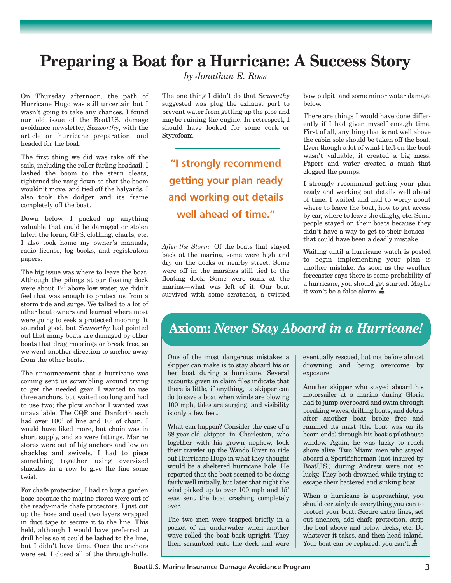# **Preparing a Boat for a Hurricane: A Success Story**

*by Jonathan E. Ross*

On Thursday afternoon, the path of Hurricane Hugo was still uncertain but I wasn't going to take any chances. I found our old issue of the BoatU.S. damage avoidance newsletter, *Seaworthy*, with the article on hurricane preparation, and headed for the boat.

The first thing we did was take off the sails, including the roller furling headsail. I lashed the boom to the stern cleats, tightened the vang down so that the boom wouldn't move, and tied off the halyards. I also took the dodger and its frame completely off the boat.

Down below, I packed up anything valuable that could be damaged or stolen later: the loran, GPS, clothing, charts, etc. I also took home my owner's manuals, radio license, log books, and registration papers.

The big issue was where to leave the boat. Although the pilings at our floating dock were about 12' above low water, we didn't feel that was enough to protect us from a storm tide and surge. We talked to a lot of other boat owners and learned where most were going to seek a protected mooring. It sounded good, but *Seaworthy* had pointed out that many boats are damaged by other boats that drag moorings or break free, so we went another direction to anchor away from the other boats.

The announcement that a hurricane was coming sent us scrambling around trying to get the needed gear. I wanted to use three anchors, but waited too long and had to use two; the plow anchor I wanted was unavailable. The CQR and Danforth each had over 100' of line and 10' of chain. I would have liked more, but chain was in short supply, and so were fittings. Marine stores were out of big anchors and low on shackles and swivels. I had to piece something together using oversized shackles in a row to give the line some twist.

For chafe protection, I had to buy a garden hose because the marine stores were out of the ready-made chafe protectors. I just cut up the hose and used two layers wrapped in duct tape to secure it to the line. This held, although I would have preferred to drill holes so it could be lashed to the line, but I didn't have time. Once the anchors were set, I closed all of the through-hulls.

The one thing I didn't do that *Seaworthy* suggested was plug the exhaust port to prevent water from getting up the pipe and maybe ruining the engine. In retrospect, I should have looked for some cork or Styrofoam.

**"I strongly recommend getting your plan ready and working out details well ahead of time."**

*After the Storm:* Of the boats that stayed back at the marina, some were high and dry on the docks or nearby street. Some were off in the marshes still tied to the floating dock. Some were sunk at the marina—what was left of it. Our boat survived with some scratches, a twisted bow pulpit, and some minor water damage below.

There are things I would have done differently if I had given myself enough time. First of all, anything that is not well above the cabin sole should be taken off the boat. Even though a lot of what I left on the boat wasn't valuable, it created a big mess. Papers and water created a mush that clogged the pumps.

I strongly recommend getting your plan ready and working out details well ahead of time. I waited and had to worry about where to leave the boat, how to get access by car, where to leave the dinghy, etc. Some people stayed on their boats because they didn't have a way to get to their houses that could have been a deadly mistake.

Waiting until a hurricane watch is posted to begin implementing your plan is another mistake. As soon as the weather forecaster says there is some probability of a hurricane, you should get started. Maybe it won't be a false alarm.

## **Axiom:** *Never Stay Aboard in a Hurricane!*

One of the most dangerous mistakes a skipper can make is to stay aboard his or her boat during a hurricane. Several accounts given in claim files indicate that there is little, if anything, a skipper can do to save a boat when winds are blowing 100 mph, tides are surging, and visibility is only a few feet.

What can happen? Consider the case of a 68-year-old skipper in Charleston, who together with his grown nephew, took their trawler up the Wando River to ride out Hurricane Hugo in what they thought would be a sheltered hurricane hole. He reported that the boat seemed to be doing fairly well initially, but later that night the wind picked up to over 100 mph and 15' seas sent the boat crashing completely over.

The two men were trapped briefly in a pocket of air underwater when another wave rolled the boat back upright. They then scrambled onto the deck and were eventually rescued, but not before almost drowning and being overcome by exposure.

Another skipper who stayed aboard his motorsailer at a marina during Gloria had to jump overboard and swim through breaking waves, drifting boats, and debris after another boat broke free and rammed its mast (the boat was on its beam ends) through his boat's pilothouse window. Again, he was lucky to reach shore alive. Two Miami men who stayed aboard a Sportfisherman (not insured by BoatU.S.) during Andrew were not so lucky. They both drowned while trying to escape their battered and sinking boat.

When a hurricane is approaching, you should certainly do everything you can to protect your boat: Secure extra lines, set out anchors, add chafe protection, strip the boat above and below decks, etc. Do whatever it takes, and then head inland. Your boat can be replaced; you can't.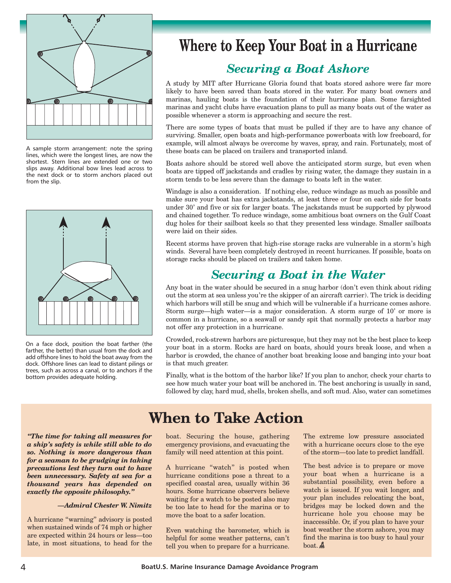

A sample storm arrangement: note the spring lines, which were the longest lines, are now the shortest. Stern lines are extended one or two slips away. Additional bow lines lead across to the next dock or to storm anchors placed out from the slip.

![](_page_3_Picture_2.jpeg)

On a face dock, position the boat farther (the farther, the better) than usual from the dock and add offshore lines to hold the boat away from the dock. Offshore lines can lead to distant pilings or trees, such as across a canal, or to anchors if the bottom provides adequate holding.

# **Where to Keep Your Boat in a Hurricane**

## *Securing a Boat Ashore*

A study by MIT after Hurricane Gloria found that boats stored ashore were far more likely to have been saved than boats stored in the water. For many boat owners and marinas, hauling boats is the foundation of their hurricane plan. Some farsighted marinas and yacht clubs have evacuation plans to pull as many boats out of the water as possible whenever a storm is approaching and secure the rest.

There are some types of boats that must be pulled if they are to have any chance of surviving. Smaller, open boats and high-performance powerboats with low freeboard, for example, will almost always be overcome by waves, spray, and rain. Fortunately, most of these boats can be placed on trailers and transported inland.

Boats ashore should be stored well above the anticipated storm surge, but even when boats are tipped off jackstands and cradles by rising water, the damage they sustain in a storm tends to be less severe than the damage to boats left in the water.

Windage is also a consideration. If nothing else, reduce windage as much as possible and make sure your boat has extra jackstands, at least three or four on each side for boats under 30' and five or six for larger boats. The jackstands must be supported by plywood and chained together. To reduce windage, some ambitious boat owners on the Gulf Coast dug holes for their sailboat keels so that they presented less windage. Smaller sailboats were laid on their sides.

Recent storms have proven that high-rise storage racks are vulnerable in a storm's high winds. Several have been completely destroyed in recent hurricanes. If possible, boats on storage racks should be placed on trailers and taken home.

## *Securing a Boat in the Water*

Any boat in the water should be secured in a snug harbor (don't even think about riding out the storm at sea unless you're the skipper of an aircraft carrier). The trick is deciding which harbors will still be snug and which will be vulnerable if a hurricane comes ashore. Storm surge—high water—is a major consideration. A storm surge of 10' or more is common in a hurricane, so a seawall or sandy spit that normally protects a harbor may not offer any protection in a hurricane.

Crowded, rock-strewn harbors are picturesque, but they may not be the best place to keep your boat in a storm. Rocks are hard on boats, should yours break loose, and when a harbor is crowded, the chance of another boat breaking loose and banging into your boat is that much greater.

Finally, what is the bottom of the harbor like? If you plan to anchor, check your charts to see how much water your boat will be anchored in. The best anchoring is usually in sand, followed by clay, hard mud, shells, broken shells, and soft mud. Also, water can sometimes

*"The time for taking all measures for a ship's safety is while still able to do so. Nothing is more dangerous than for a seaman to be grudging in taking precautions lest they turn out to have been unnecessary. Safety at sea for a thousand years has depended on exactly the opposite philosophy."*

#### *—Admiral Chester W. Nimitz*

A hurricane "warning" advisory is posted when sustained winds of 74 mph or higher are expected within 24 hours or less—too late, in most situations, to head for the

## **When to Take Action**

boat. Securing the house, gathering emergency provisions, and evacuating the family will need attention at this point.

A hurricane "watch" is posted when hurricane conditions pose a threat to a specified coastal area, usually within 36 hours. Some hurricane observers believe waiting for a watch to be posted also may be too late to head for the marina or to move the boat to a safer location.

Even watching the barometer, which is helpful for some weather patterns, can't tell you when to prepare for a hurricane. The extreme low pressure associated with a hurricane occurs close to the eye of the storm—too late to predict landfall.

The best advice is to prepare or move your boat when a hurricane is a substantial possibility, even before a watch is issued. If you wait longer, and your plan includes relocating the boat, bridges may be locked down and the hurricane hole you choose may be inaccessible. Or, if you plan to have your boat weather the storm ashore, you may find the marina is too busy to haul your boat.  $\mathbf{\mathbb{A}}$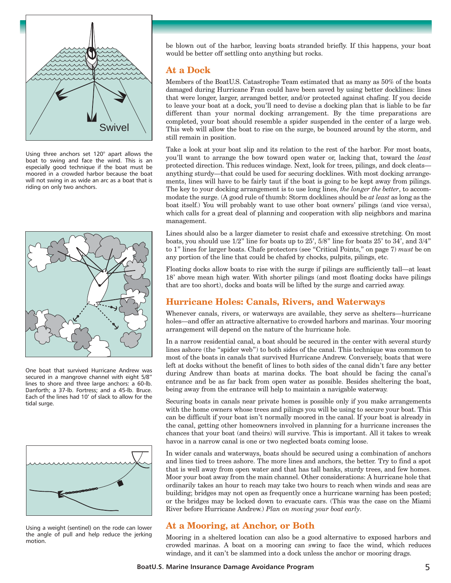![](_page_4_Figure_0.jpeg)

Using three anchors set 120° apart allows the boat to swing and face the wind. This is an especially good technique if the boat must be moored in a crowded harbor because the boat will not swing in as wide an arc as a boat that is riding on only two anchors.

![](_page_4_Figure_2.jpeg)

One boat that survived Hurricane Andrew was secured in a mangrove channel with eight 5/8" lines to shore and three large anchors: a 60-lb. Danforth; a 37-lb. Fortress; and a 45-lb. Bruce. Each of the lines had 10' of slack to allow for the tidal surge.

![](_page_4_Figure_4.jpeg)

Using a weight (sentinel) on the rode can lower the angle of pull and help reduce the jerking motion.

be blown out of the harbor, leaving boats stranded briefly. If this happens, your boat would be better off settling onto anything but rocks.

### **At a Dock**

Members of the BoatU.S. Catastrophe Team estimated that as many as 50% of the boats damaged during Hurricane Fran could have been saved by using better docklines: lines that were longer, larger, arranged better, and/or protected against chafing. If you decide to leave your boat at a dock, you'll need to devise a docking plan that is liable to be far different than your normal docking arrangement. By the time preparations are completed, your boat should resemble a spider suspended in the center of a large web. This web will allow the boat to rise on the surge, be bounced around by the storm, and still remain in position.

Take a look at your boat slip and its relation to the rest of the harbor. For most boats, you'll want to arrange the bow toward open water or, lacking that, toward the *least* protected direction. This reduces windage. Next, look for trees, pilings, and dock cleats anything sturdy—that could be used for securing docklines. With most docking arrangements, lines will have to be fairly taut if the boat is going to be kept away from pilings. The key to your docking arrangement is to use long lines, *the longer the better*, to accommodate the surge. (A good rule of thumb: Storm docklines should be *at least* as long as the boat itself.) You will probably want to use other boat owners' pilings (and vice versa), which calls for a great deal of planning and cooperation with slip neighbors and marina management.

Lines should also be a larger diameter to resist chafe and excessive stretching. On most boats, you should use 1/2" line for boats up to 25', 5/8" line for boats 25' to 34', and 3/4" to 1" lines for larger boats. Chafe protectors (see "Critical Points," on page 7) *must* be on any portion of the line that could be chafed by chocks, pulpits, pilings, etc.

Floating docks allow boats to rise with the surge if pilings are sufficiently tall—at least 18' above mean high water. With shorter pilings (and most floating docks have pilings that are too short), docks and boats will be lifted by the surge and carried away.

### **Hurricane Holes: Canals, Rivers, and Waterways**

Whenever canals, rivers, or waterways are available, they serve as shelters—hurricane holes—and offer an attractive alternative to crowded harbors and marinas. Your mooring arrangement will depend on the nature of the hurricane hole.

In a narrow residential canal, a boat should be secured in the center with several sturdy lines ashore (the "spider web") to both sides of the canal. This technique was common to most of the boats in canals that survived Hurricane Andrew. Conversely, boats that were left at docks without the benefit of lines to both sides of the canal didn't fare any better during Andrew than boats at marina docks. The boat should be facing the canal's entrance and be as far back from open water as possible. Besides sheltering the boat, being away from the entrance will help to maintain a navigable waterway.

Securing boats in canals near private homes is possible only if you make arrangements with the home owners whose trees and pilings you will be using to secure your boat. This can be difficult if your boat isn't normally moored in the canal. If your boat is already in the canal, getting other homeowners involved in planning for a hurricane increases the chances that your boat (and theirs) will survive. This is important. All it takes to wreak havoc in a narrow canal is one or two neglected boats coming loose.

In wider canals and waterways, boats should be secured using a combination of anchors and lines tied to trees ashore. The more lines and anchors, the better. Try to find a spot that is well away from open water and that has tall banks, sturdy trees, and few homes. Moor your boat away from the main channel. Other considerations: A hurricane hole that ordinarily takes an hour to reach may take two hours to reach when winds and seas are building; bridges may not open as frequently once a hurricane warning has been posted; or the bridges may be locked down to evacuate cars. (This was the case on the Miami River before Hurricane Andrew.) *Plan on moving your boat early*.

### **At a Mooring, at Anchor, or Both**

Mooring in a sheltered location can also be a good alternative to exposed harbors and crowded marinas. A boat on a mooring can swing to face the wind, which reduces windage, and it can't be slammed into a dock unless the anchor or mooring drags.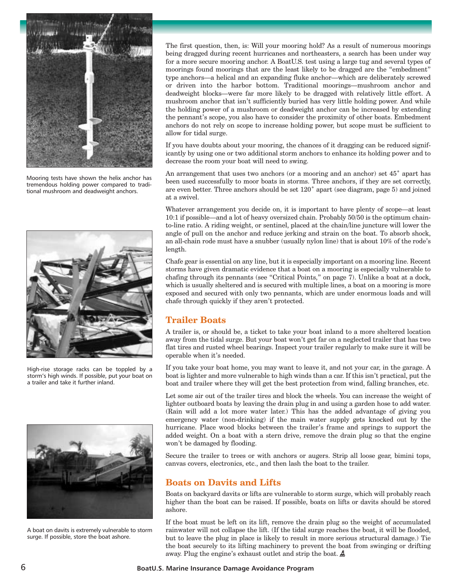![](_page_5_Picture_0.jpeg)

Mooring tests have shown the helix anchor has tremendous holding power compared to traditional mushroom and deadweight anchors.

![](_page_5_Picture_2.jpeg)

High-rise storage racks can be toppled by a storm's high winds. If possible, put your boat on a trailer and take it further inland.

![](_page_5_Picture_4.jpeg)

A boat on davits is extremely vulnerable to storm surge. If possible, store the boat ashore.

The first question, then, is: Will your mooring hold? As a result of numerous moorings being dragged during recent hurricanes and northeasters, a search has been under way for a more secure mooring anchor. A BoatU.S. test using a large tug and several types of moorings found moorings that are the least likely to be dragged are the "embedment" type anchors—a helical and an expanding fluke anchor—which are deliberately screwed or driven into the harbor bottom. Traditional moorings—mushroom anchor and deadweight blocks—were far more likely to be dragged with relatively little effort. A mushroom anchor that isn't sufficiently buried has very little holding power. And while the holding power of a mushroom or deadweight anchor can be increased by extending the pennant's scope, you also have to consider the proximity of other boats. Embedment anchors do not rely on scope to increase holding power, but scope must be sufficient to allow for tidal surge.

If you have doubts about your mooring, the chances of it dragging can be reduced significantly by using one or two additional storm anchors to enhance its holding power and to decrease the room your boat will need to swing.

An arrangement that uses two anchors (or a mooring and an anchor) set 45˚ apart has been used successfully to moor boats in storms. Three anchors, if they are set correctly, are even better. Three anchors should be set 120˚ apart (see diagram, page 5) and joined at a swivel.

Whatever arrangement you decide on, it is important to have plenty of scope—at least 10:1 if possible—and a lot of heavy oversized chain. Probably 50/50 is the optimum chainto-line ratio. A riding weight, or sentinel, placed at the chain/line juncture will lower the angle of pull on the anchor and reduce jerking and strain on the boat. To absorb shock, an all-chain rode must have a snubber (usually nylon line) that is about 10% of the rode's length.

Chafe gear is essential on any line, but it is especially important on a mooring line. Recent storms have given dramatic evidence that a boat on a mooring is especially vulnerable to chafing through its pennants (see "Critical Points," on page 7). Unlike a boat at a dock, which is usually sheltered and is secured with multiple lines, a boat on a mooring is more exposed and secured with only two pennants, which are under enormous loads and will chafe through quickly if they aren't protected.

### **Trailer Boats**

A trailer is, or should be, a ticket to take your boat inland to a more sheltered location away from the tidal surge. But your boat won't get far on a neglected trailer that has two flat tires and rusted wheel bearings. Inspect your trailer regularly to make sure it will be operable when it's needed.

If you take your boat home, you may want to leave it, and not your car, in the garage. A boat is lighter and more vulnerable to high winds than a car. If this isn't practical, put the boat and trailer where they will get the best protection from wind, falling branches, etc.

Let some air out of the trailer tires and block the wheels. You can increase the weight of lighter outboard boats by leaving the drain plug in and using a garden hose to add water. (Rain will add a lot more water later.) This has the added advantage of giving you emergency water (non-drinking) if the main water supply gets knocked out by the hurricane. Place wood blocks between the trailer's frame and springs to support the added weight. On a boat with a stern drive, remove the drain plug so that the engine won't be damaged by flooding.

Secure the trailer to trees or with anchors or augers. Strip all loose gear, bimini tops, canvas covers, electronics, etc., and then lash the boat to the trailer.

### **Boats on Davits and Lifts**

Boats on backyard davits or lifts are vulnerable to storm surge, which will probably reach higher than the boat can be raised. If possible, boats on lifts or davits should be stored ashore.

If the boat must be left on its lift, remove the drain plug so the weight of accumulated rainwater will not collapse the lift. (If the tidal surge reaches the boat, it will be flooded, but to leave the plug in place is likely to result in more serious structural damage.) Tie the boat securely to its lifting machinery to prevent the boat from swinging or drifting away. Plug the engine's exhaust outlet and strip the boat.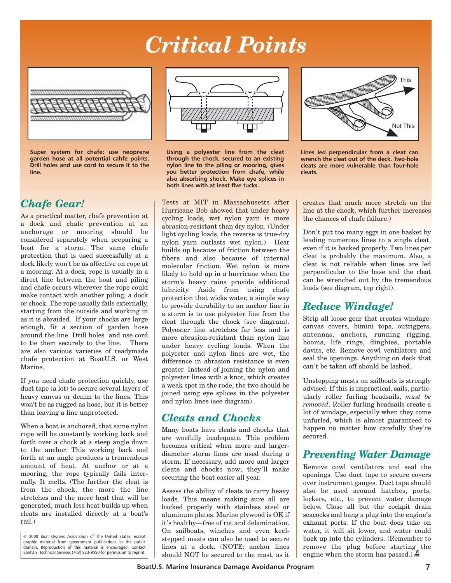# *Critical Points*

![](_page_6_Figure_1.jpeg)

**Super system for chafe: use neoprene garden hose at all potential cahfe points. Drill holes and use cord to secure it to the line.**

## *Chafe Gear!*

As a practical matter, chafe prevention at a dock and chafe prevention at an anchorage or mooring should be considered separately when preparing a boat for a storm. The same chafe protection that is used successfully at a dock likely won't be as affective on rope at a mooring. At a dock, rope is usually in a direct line between the boat and piling and chafe occurs wherever the rope could make contact with another piling, a dock or chock. The rope usually fails externally, starting from the outside and working in as it is abraided. If your chocks are large enough, fit a section of garden hose around the line. Drill holes and use cord to tie them securely to the line. There are also various varieties of readymade chafe protection at BoatU.S. or West Marine.

If you need chafe protection quickly, use duct tape (a lot) to secure several layers of heavy canvas or denim to the lines. This won't be as rugged as hose, but it is better than leaving a line unprotected.

When a boat is anchored, that same nylon rope will be constantly working back and forth over a chock at a steep angle down to the anchor. This working back and forth at an angle produces a tremendous amount of heat. At anchor or at a mooring, the rope typically fails internally. It melts. (The further the cleat is from the chock, the more the line stretches and the more heat that will be generated; much less heat builds up when cleats are installed directly at a boat's rail.)

© 2000 Boat Owners Association of The United States, except graphic material from government publications in the public domain. Reproduction of this material is encouraged. Contact BoatU.S. Technical Services (703) 823-9550 for permission to reprint.

![](_page_6_Figure_8.jpeg)

**Using a polyester line from the cleat through the chock, secured to an existing nylon line to the piling or mooring, gives you better protection from chafe, while also absorbing shock. Make eye splices in both lines with at least five tucks.**

Tests at MIT in Massachusetts after Hurricane Bob showed that under heavy cycling loads, wet nylon yarn is more abrasion-resistant than dry nylon. (Under light cycling loads, the reverse is true-dry nylon yarn outlasts wet nylon.) Heat builds up because of friction between the fibers and also because of internal molecular friction. Wet nylon is more likely to hold up in a hurricane when the storm's heavy rains provide additional lubricity. Aside from using chafe protection that wicks water, a simple way to provide durability to an anchor line in a storm is to use polyester line from the cleat through the chock (see diagram). Polyester line stretches far less and is more abrasion-resistant than nylon line under heavy cycling loads. When the polyester and nylon lines are wet, the difference in abrasion resistance is even greater. Instead of joining the nylon and polyester lines with a knot, which creates a weak spot in the rode, the two should be joined using eye splices in the polyester and nylon lines (see diagram).

## *Cleats and Chocks*

Many boats have cleats and chocks that are woefully inadequate. This problem becomes critical when more and largerdiameter storm lines are used during a storm. If necessary, add more and larger cleats and chocks now; they'll make securing the boat easier all year.

Assess the ability of cleats to carry heavy loads. This means making sure all are backed properly with stainless steel or aluminum plates. Marine plywood is OK if it's healthy—free of rot and delamination. On sailboats, winches and even keelstepped masts can also be used to secure lines at a dock. (NOTE: anchor lines should NOT be secured to the mast, as it

![](_page_6_Figure_14.jpeg)

**Lines led perpendicular from a cleat can wrench the cleat out of the deck. Two-hole cleats are more vulnerable than four-hole cleats.**

creates that much more stretch on the line at the chock, which further increases the chances of chafe failure.)

Don't put too many eggs in one basket by leading numerous lines to a single cleat, even if it is backed properly. Two lines per cleat is probably the maximum. Also, a cleat is not reliable when lines are led perpendicular to the base and the cleat can be wrenched out by the tremendous loads (see diagram, top right).

## *Reduce Windage!*

Strip all loose gear that creates windage: canvas covers, bimini tops, outriggers, antennas, anchors, running rigging, booms, life rings, dinghies, portable davits, etc. Remove cowl ventilators and seal the openings. Anything on deck that can't be taken off should be lashed.

Unstepping masts on sailboats is strongly advised. If this is impractical, sails, particularly roller furling headsails, *must be removed*. Roller furling headsails create a lot of windage, especially when they come unfurled, which is almost guaranteed to happen no matter how carefully they're secured.

### *Preventing Water Damage*

Remove cowl ventilators and seal the openings. Use duct tape to secure covers over instrument gauges. Duct tape should also be used around hatches, ports, lockers, etc., to prevent water damage below. Close all but the cockpit drain seacocks and bang a plug into the engine's exhaust ports. If the boat does take on water, it will sit lower, and water could back up into the cylinders. (Remember to remove the plug before starting the engine when the storm has passed.)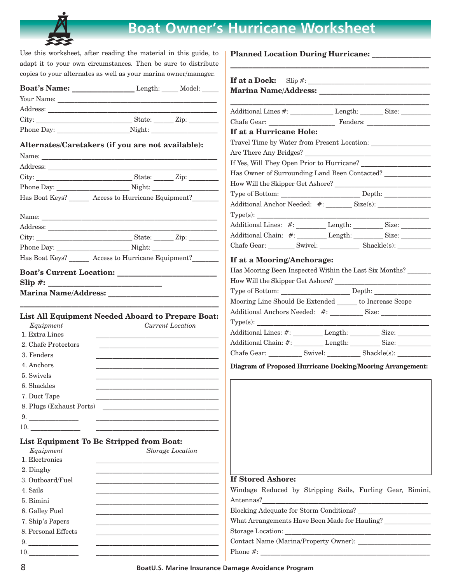![](_page_7_Picture_0.jpeg)

## **Boat Owner's Hurricane Worksheet**

**Planned Location During Hurricane: \_\_\_\_\_\_\_\_\_\_\_\_\_\_\_\_**

**\_\_\_\_\_\_\_\_\_\_\_\_\_\_\_\_\_\_\_\_\_\_\_\_\_\_\_\_\_\_\_\_\_\_\_\_\_\_\_\_\_\_\_\_\_\_\_\_\_\_\_\_\_\_**

Use this worksheet, after reading the material in this guide, to adapt it to your own circumstances. Then be sure to distribute copies to your alternates as well as your marina owner/manager.

| $\alpha$ and $\alpha$ and $\alpha$ and $\alpha$ and $\alpha$ and $\alpha$ and $\alpha$ and $\alpha$ and $\alpha$ and $\alpha$ |                                                                                                                                                                                                                                |
|-------------------------------------------------------------------------------------------------------------------------------|--------------------------------------------------------------------------------------------------------------------------------------------------------------------------------------------------------------------------------|
| Boat's Name: __________________________Length: ______ Model: _____                                                            |                                                                                                                                                                                                                                |
|                                                                                                                               |                                                                                                                                                                                                                                |
|                                                                                                                               | Additional Lines #: ___________________Length: __________Size: __________________                                                                                                                                              |
|                                                                                                                               |                                                                                                                                                                                                                                |
| Phone Day: Night:                                                                                                             | If at a Hurricane Hole:                                                                                                                                                                                                        |
| Alternates/Caretakers (if you are not available):                                                                             |                                                                                                                                                                                                                                |
|                                                                                                                               |                                                                                                                                                                                                                                |
|                                                                                                                               | If Yes, Will They Open Prior to Hurricane?                                                                                                                                                                                     |
|                                                                                                                               | Has Owner of Surrounding Land Been Contacted?                                                                                                                                                                                  |
|                                                                                                                               |                                                                                                                                                                                                                                |
| Has Boat Keys? ______ Access to Hurricane Equipment? _______                                                                  |                                                                                                                                                                                                                                |
|                                                                                                                               |                                                                                                                                                                                                                                |
| Name:                                                                                                                         |                                                                                                                                                                                                                                |
|                                                                                                                               | Additional Lines: #: __________ Length: __________ Size: __________                                                                                                                                                            |
|                                                                                                                               |                                                                                                                                                                                                                                |
|                                                                                                                               | Chafe Gear: __________ Swivel: _______________ Shackle(s): ____________                                                                                                                                                        |
| Has Boat Keys? ______ Access to Hurricane Equipment? ______                                                                   | If at a Mooring/Anchorage:                                                                                                                                                                                                     |
|                                                                                                                               | Has Mooring Been Inspected Within the Last Six Months?                                                                                                                                                                         |
|                                                                                                                               |                                                                                                                                                                                                                                |
| <b>Marina Name/Address:</b>                                                                                                   |                                                                                                                                                                                                                                |
|                                                                                                                               | Mooring Line Should Be Extended _______ to Increase Scope                                                                                                                                                                      |
|                                                                                                                               | Additional Anchors Needed: #: Size: Size:                                                                                                                                                                                      |
| <b>List All Equipment Needed Aboard to Prepare Boat:</b>                                                                      |                                                                                                                                                                                                                                |
| Equipment<br>Current Location<br>1. Extra Lines                                                                               |                                                                                                                                                                                                                                |
| 2. Chafe Protectors                                                                                                           | Additional Chain: #: Length: Size:                                                                                                                                                                                             |
| 3. Fenders                                                                                                                    | Chafe Gear: ____________ Swivel: ____________ Shackle(s): __________                                                                                                                                                           |
| 4. Anchors                                                                                                                    |                                                                                                                                                                                                                                |
| 5. Swivels                                                                                                                    | Diagram of Proposed Hurricane Docking/Mooring Arrangement:                                                                                                                                                                     |
| 6. Shackles                                                                                                                   |                                                                                                                                                                                                                                |
| 7. Duct Tape                                                                                                                  |                                                                                                                                                                                                                                |
| 8. Plugs (Exhaust Ports)                                                                                                      |                                                                                                                                                                                                                                |
|                                                                                                                               |                                                                                                                                                                                                                                |
| 10.                                                                                                                           |                                                                                                                                                                                                                                |
|                                                                                                                               |                                                                                                                                                                                                                                |
| List Equipment To Be Stripped from Boat:                                                                                      |                                                                                                                                                                                                                                |
| Storage Location<br>Equipment<br>1. Electronics                                                                               |                                                                                                                                                                                                                                |
|                                                                                                                               |                                                                                                                                                                                                                                |
| 2. Dinghy<br>3. Outboard/Fuel                                                                                                 | <b>If Stored Ashore:</b>                                                                                                                                                                                                       |
| 4. Sails                                                                                                                      | Windage Reduced by Stripping Sails, Furling Gear, Bimini,                                                                                                                                                                      |
| 5. Bimini                                                                                                                     | Antennas?                                                                                                                                                                                                                      |
| 6. Galley Fuel                                                                                                                | Blocking Adequate for Storm Conditions?                                                                                                                                                                                        |
| the contract of the contract of the contract of the contract of the contract of<br>7. Ship's Papers                           | What Arrangements Have Been Made for Hauling?                                                                                                                                                                                  |
| <u> 1989 - Johann Barbara, margaret eta idazlea (h. 1989).</u><br>8. Personal Effects                                         |                                                                                                                                                                                                                                |
| 9.                                                                                                                            | Contact Name (Marina/Property Owner): [2001] [2002] [2003] [2003] [2003] [2003] [2003] [2003] [2003] [2003] [2004] [2004] [2004] [2004] [2004] [2004] [2004] [2004] [2004] [2004] [2004] [2004] [2004] [2004] [2004] [2004] [2 |
| 10. $\qquad \qquad$                                                                                                           |                                                                                                                                                                                                                                |
|                                                                                                                               |                                                                                                                                                                                                                                |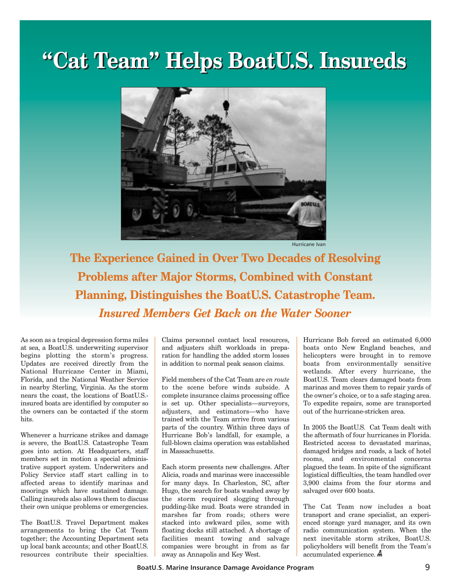# **"Cat Team" Helps BoatU.S. Insureds "Cat Team" Helps BoatU.S. Insureds**

![](_page_8_Picture_1.jpeg)

Hurricane Ivan

**The Experience Gained in Over Two Decades of Resolving Problems after Major Storms, Combined with Constant Planning, Distinguishes the BoatU.S. Catastrophe Team.** *Insured Members Get Back on the Water Sooner*

As soon as a tropical depression forms miles at sea, a BoatU.S. underwriting supervisor begins plotting the storm's progress. Updates are received directly from the National Hurricane Center in Miami, Florida, and the National Weather Service in nearby Sterling, Virginia. As the storm nears the coast, the locations of BoatU.S. insured boats are identified by computer so the owners can be contacted if the storm hits.

Whenever a hurricane strikes and damage is severe, the BoatU.S. Catastrophe Team goes into action. At Headquarters, staff members set in motion a special administrative support system. Underwriters and Policy Service staff start calling in to affected areas to identify marinas and moorings which have sustained damage. Calling insureds also allows them to discuss their own unique problems or emergencies.

The BoatU.S. Travel Department makes arrangements to bring the Cat Team together; the Accounting Department sets up local bank accounts; and other BoatU.S. resources contribute their specialties. Claims personnel contact local resources, and adjusters shift workloads in preparation for handling the added storm losses in addition to normal peak season claims.

Field members of the Cat Team are *en route* to the scene before winds subside. A complete insurance claims processing office is set up. Other specialists—surveyors, adjusters, and estimators—who have trained with the Team arrive from various parts of the country. Within three days of Hurricane Bob's landfall, for example, a full-blown claims operation was established in Massachusetts.

Each storm presents new challenges. After Alicia, roads and marinas were inaccessible for many days. In Charleston, SC, after Hugo, the search for boats washed away by the storm required slogging through pudding-like mud. Boats were stranded in marshes far from roads; others were stacked into awkward piles, some with floating docks still attached. A shortage of facilities meant towing and salvage companies were brought in from as far away as Annapolis and Key West.

Hurricane Bob forced an estimated 6,000 boats onto New England beaches, and helicopters were brought in to remove boats from environmentally sensitive wetlands. After every hurricane, the BoatU.S. Team clears damaged boats from marinas and moves them to repair yards of the owner's choice, or to a safe staging area. To expedite repairs, some are transported out of the hurricane-stricken area.

In 2005 the BoatU.S. Cat Team dealt with the aftermath of four hurricanes in Florida. Restricted access to devastated marinas, damaged bridges and roads, a lack of hotel rooms, and environmental concerns plagued the team. In spite of the significant logistical difficulties, the team handled over 3,900 claims from the four storms and salvaged over 600 boats.

The Cat Team now includes a boat transport and crane specialist, an experienced storage yard manager, and its own radio communication system. When the next inevitable storm strikes, BoatU.S. policyholders will benefit from the Team's accumulated experience.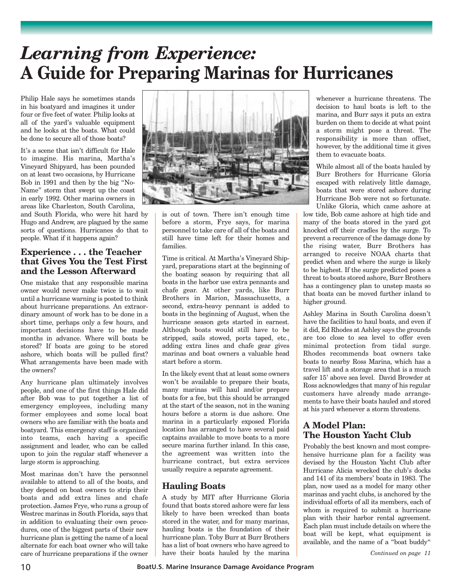# *Learning from Experience:*  **A Guide for Preparing Marinas for Hurricanes**

Philip Hale says he sometimes stands in his boatyard and imagines it under four or five feet of water. Philip looks at all of the yard's valuable equipment and he looks at the boats. What could be done to secure all of those boats?

It's a scene that isn't difficult for Hale to imagine. His marina, Martha's Vineyard Shipyard, has been pounded on at least two occasions, by Hurricane Bob in 1991 and then by the big "No-Name" storm that swept up the coast in early 1992. Other marina owners in areas like Charleston, South Carolina,

and South Florida, who were hit hard by Hugo and Andrew, are plagued by the same sorts of questions. Hurricanes do that to people. What if it happens again?

### **Experience . . . the Teacher that Gives You the Test First and the Lesson Afterward**

One mistake that any responsible marina owner would never make twice is to wait until a hurricane warning is posted to think about hurricane preparations. An extraordinary amount of work has to be done in a short time, perhaps only a few hours, and important decisions have to be made months in advance. Where will boats be stored? If boats are going to be stored ashore, which boats will be pulled first? What arrangements have been made with the owners?

Any hurricane plan ultimately involves people, and one of the first things Hale did after Bob was to put together a list of emergency employees, including many former employees and some local boat owners who are familiar with the boats and boatyard. This emergency staff is organized into teams, each having a specific assignment and leader, who can be called upon to join the regular staff whenever a large storm is approaching.

Most marinas don't have the personnel available to attend to all of the boats, and they depend on boat owners to strip their boats and add extra lines and chafe protection. James Frye, who runs a group of Westrec marinas in South Florida, says that in addition to evaluating their own procedures, one of the biggest parts of their new hurricane plan is getting the name of a local alternate for each boat owner who will take care of hurricane preparations if the owner

![](_page_9_Picture_8.jpeg)

is out of town. There isn't enough time before a storm, Frye says, for marina personnel to take care of all of the boats and still have time left for their homes and families.

Time is critical. At Martha's Vineyard Shipyard, preparations start at the beginning of the boating season by requiring that all boats in the harbor use extra pennants and chafe gear. At other yards, like Burr Brothers in Marion, Massachusetts, a second, extra-heavy pennant is added to boats in the beginning of August, when the hurricane season gets started in earnest. Although boats would still have to be stripped, sails stowed, ports taped, etc., adding extra lines and chafe gear gives marinas and boat owners a valuable head start before a storm.

In the likely event that at least some owners won't be available to prepare their boats, many marinas will haul and/or prepare boats for a fee, but this should be arranged at the start of the season, not in the waning hours before a storm is due ashore. One marina in a particularly exposed Florida location has arranged to have several paid captains available to move boats to a more secure marina further inland. In this case, the agreement was written into the hurricane contract, but extra services usually require a separate agreement.

### **Hauling Boats**

A study by MIT after Hurricane Gloria found that boats stored ashore were far less likely to have been wrecked than boats stored in the water, and for many marinas, hauling boats is the foundation of their hurricane plan. Toby Burr at Burr Brothers has a list of boat owners who have agreed to have their boats hauled by the marina

whenever a hurricane threatens. The decision to haul boats is left to the marina, and Burr says it puts an extra burden on them to decide at what point a storm might pose a threat. The responsibility is more than offset, however, by the additional time it gives them to evacuate boats.

While almost all of the boats hauled by Burr Brothers for Hurricane Gloria escaped with relatively little damage, boats that were stored ashore during Hurricane Bob were not so fortunate. Unlike Gloria, which came ashore at

low tide, Bob came ashore at high tide and many of the boats stored in the yard got knocked off their cradles by the surge. To prevent a recurrence of the damage done by the rising water, Burr Brothers has arranged to receive NOAA charts that predict when and where the surge is likely to be highest. If the surge predicted poses a threat to boats stored ashore, Burr Brothers has a contingency plan to unstep masts so that boats can be moved further inland to higher ground.

Ashley Marina in South Carolina doesn't have the facilities to haul boats, and even if it did, Ed Rhodes at Ashley says the grounds are too close to sea level to offer even minimal protection from tidal surge. Rhodes recommends boat owners take boats to nearby Ross Marina, which has a travel lift and a storage area that is a much safer 15' above sea level. David Browder at Ross acknowledges that many of his regular customers have already made arrangements to have their boats hauled and stored at his yard whenever a storm threatens.

### **A Model Plan: The Houston Yacht Club**

Probably the best known and most comprehensive hurricane plan for a facility was devised by the Houston Yacht Club after Hurricane Alicia wrecked the club's docks and 141 of its members' boats in 1983. The plan, now used as a model for many other marinas and yacht clubs, is anchored by the individual efforts of all its members, each of whom is required to submit a hurricane plan with their harbor rental agreement. Each plan must include details on where the boat will be kept, what equipment is available, and the name of a "boat buddy"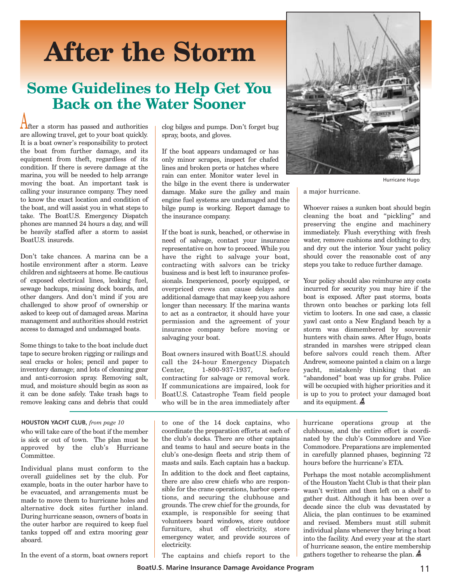# **After the Storm**

## **Some Guidelines to Help Get You Back on the Water Sooner**

**A**fter a storm has passed and authorities are allowing travel, get to your boat quickly. It is a boat owner's responsibility to protect the boat from further damage, and its equipment from theft, regardless of its condition. If there is severe damage at the marina, you will be needed to help arrange moving the boat. An important task is calling your insurance company. They need to know the exact location and condition of the boat, and will assist you in what steps to take. The BoatU.S. Emergency Dispatch phones are manned 24 hours a day, and will be heavily staffed after a storm to assist BoatU.S. insureds.

Don't take chances. A marina can be a hostile environment after a storm. Leave children and sightseers at home. Be cautious of exposed electrical lines, leaking fuel, sewage backups, missing dock boards, and other dangers. And don't mind if you are challenged to show proof of ownership or asked to keep out of damaged areas. Marina management and authorities should restrict access to damaged and undamaged boats.

Some things to take to the boat include duct tape to secure broken rigging or railings and seal cracks or holes; pencil and paper to inventory damage; and lots of cleaning gear and anti-corrosion spray. Removing salt, mud, and moisture should begin as soon as it can be done safely. Take trash bags to remove leaking cans and debris that could

#### **HOUSTON YACHT CLUB,** *from page 10*

who will take care of the boat if the member is sick or out of town. The plan must be approved by the club's Hurricane Committee.

Individual plans must conform to the overall guidelines set by the club. For example, boats in the outer harbor have to be evacuated, and arrangements must be made to move them to hurricane holes and alternative dock sites further inland. During hurricane season, owners of boats in the outer harbor are required to keep fuel tanks topped off and extra mooring gear aboard.

clog bilges and pumps. Don't forget bug spray, boots, and gloves.

If the boat appears undamaged or has only minor scrapes, inspect for chafed lines and broken ports or hatches where rain can enter. Monitor water level in the bilge in the event there is underwater damage. Make sure the galley and main engine fuel systems are undamaged and the bilge pump is working. Report damage to the insurance company.

If the boat is sunk, beached, or otherwise in need of salvage, contact your insurance representative on how to proceed. While you have the right to salvage your boat, contracting with salvors can be tricky business and is best left to insurance professionals. Inexperienced, poorly equipped, or overpriced crews can cause delays and additional damage that may keep you ashore longer than necessary. If the marina wants to act as a contractor, it should have your permission and the agreement of your insurance company before moving or salvaging your boat.

Boat owners insured with BoatU.S. should call the 24-hour Emergency Dispatch Center, 1-800-937-1937, before contracting for salvage or removal work. If communications are impaired, look for BoatU.S. Catastrophe Team field people who will be in the area immediately after

to one of the 14 dock captains, who coordinate the preparation efforts at each of the club's docks. There are other captains and teams to haul and secure boats in the club's one-design fleets and strip them of masts and sails. Each captain has a backup.

In addition to the dock and fleet captains, there are also crew chiefs who are responsible for the crane operations, harbor operations, and securing the clubhouse and grounds. The crew chief for the grounds, for example, is responsible for seeing that volunteers board windows, store outdoor furniture, shut off electricity, store emergency water, and provide sources of electricity.

![](_page_10_Picture_14.jpeg)

Hurricane Hugo

a major hurricane.

Whoever raises a sunken boat should begin cleaning the boat and "pickling" and preserving the engine and machinery immediately. Flush everything with fresh water, remove cushions and clothing to dry, and dry out the interior. Your yacht policy should cover the reasonable cost of any steps you take to reduce further damage.

Your policy should also reimburse any costs incurred for security you may hire if the boat is exposed. After past storms, boats thrown onto beaches or parking lots fell victim to looters. In one sad case, a classic yawl cast onto a New England beach by a storm was dismembered by souvenir hunters with chain saws. After Hugo, boats stranded in marshes were stripped clean before salvors could reach them. After Andrew, someone painted a claim on a large yacht, mistakenly thinking that an "abandoned" boat was up for grabs. Police will be occupied with higher priorities and it is up to you to protect your damaged boat and its equipment.  $\AA$ 

hurricane operations group at the clubhouse, and the entire effort is coordinated by the club's Commodore and Vice Commodore. Preparations are implemented in carefully planned phases, beginning 72 hours before the hurricane's ETA.

Perhaps the most notable accomplishment of the Houston Yacht Club is that their plan wasn't written and then left on a shelf to gather dust. Although it has been over a decade since the club was devastated by Alicia, the plan continues to be examined and revised. Members must still submit individual plans whenever they bring a boat into the facility. And every year at the start of hurricane season, the entire membership gathers together to rehearse the plan.

In the event of a storm, boat owners report

The captains and chiefs report to the